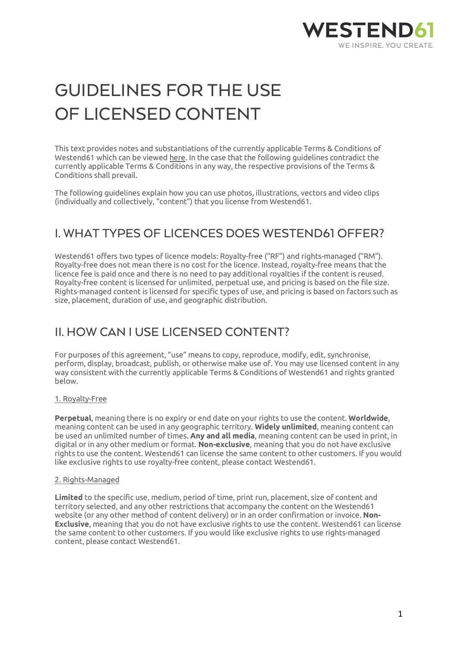

# GUIDELINES FOR THE USE OF LICENSED CONTENT

This text provides notes and substantiations of the currently applicable Terms & Conditions of Westend61 which can be viewed here. In the case that the following guidelines contradict the currently applicable Terms & Conditions in any way, the respective provisions of the Terms & Conditions shall prevail.

The following guidelines explain how you can use photos, illustrations, vectors and video clips (individually and collectively, "content") that you license from Westend61.

### I. WHAT TYPES OF LICENCES DOES WESTEND61 OFFER?

Westend61 offers two types of licence models: Royalty-free ("RF") and rights-managed ("RM"). Royalty-free does not mean there is no cost for the licence. Instead, royalty-free means that the licence fee is paid once and there is no need to pay additional royalties if the content is reused. Royalty-free content is licensed for unlimited, perpetual use, and pricing is based on the file size. Rights-managed content is licensed for specific types of use, and pricing is based on factors such as size, placement, duration of use, and geographic distribution.

### II. HOW CAN I USE LICENSED CONTENT?

For purposes of this agreement, "use" means to copy, reproduce, modify, edit, synchronise, perform, display, broadcast, publish, or otherwise make use of. You may use licensed content in any way consistent with the currently applicable Terms & Conditions of Westend61 and rights granted below.

#### 1. Royalty-Free

**Perpetual**, meaning there is no expiry or end date on your rights to use the content. **Worldwide**, meaning content can be used in any geographic territory. **Widely unlimited**, meaning content can be used an unlimited number of times. **Any and all media**, meaning content can be used in print, in digital or in any other medium or format. **Non-exclusive**, meaning that you do not have exclusive rights to use the content. Westend61 can license the same content to other customers. If you would like exclusive rights to use royalty-free content, please contact Westend61.

#### 2. Rights-Managed

**Limited** to the specific use, medium, period of time, print run, placement, size of content and territory selected, and any other restrictions that accompany the content on the Westend61 website (or any other method of content delivery) or in an order confirmation or invoice. **Non-Exclusive**, meaning that you do not have exclusive rights to use the content. Westend61 can license the same content to other customers. If you would like exclusive rights to use rights-managed content, please contact Westend61.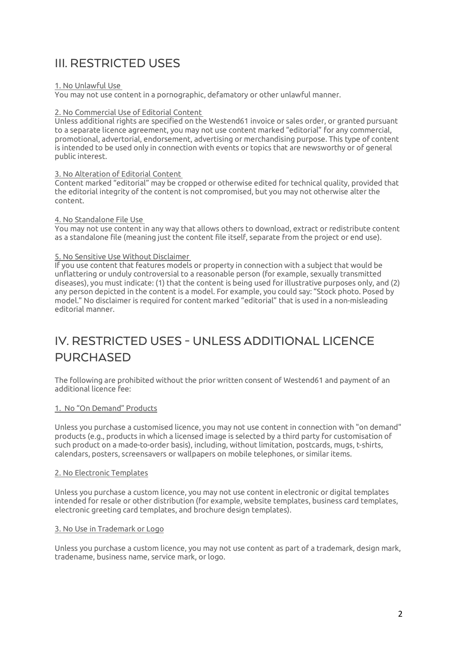## III. RESTRICTED USES

#### 1. No Unlawful Use

You may not use content in a pornographic, defamatory or other unlawful manner.

#### 2. No Commercial Use of Editorial Content

Unless additional rights are specified on the Westend61 invoice or sales order, or granted pursuant to a separate licence agreement, you may not use content marked "editorial" for any commercial, promotional, advertorial, endorsement, advertising or merchandising purpose. This type of content is intended to be used only in connection with events or topics that are newsworthy or of general public interest.

#### 3. No Alteration of Editorial Content

Content marked "editorial" may be cropped or otherwise edited for technical quality, provided that the editorial integrity of the content is not compromised, but you may not otherwise alter the content.

#### 4. No Standalone File Use

You may not use content in any way that allows others to download, extract or redistribute content as a standalone file (meaning just the content file itself, separate from the project or end use).

#### 5. No Sensitive Use Without Disclaimer

If you use content that features models or property in connection with a subject that would be unflattering or unduly controversial to a reasonable person (for example, sexually transmitted diseases), you must indicate: (1) that the content is being used for illustrative purposes only, and (2) any person depicted in the content is a model. For example, you could say: "Stock photo. Posed by model." No disclaimer is required for content marked "editorial" that is used in a non-misleading editorial manner.

## IV. RESTRICTED USES - UNLESS ADDITIONAL LICENCE PURCHASED

The following are prohibited without the prior written consent of Westend61 and payment of an additional licence fee:

#### 1. No "On Demand" Products

Unless you purchase a customised licence, you may not use content in connection with "on demand" products (e.g., products in which a licensed image is selected by a third party for customisation of such product on a made-to-order basis), including, without limitation, postcards, mugs, t-shirts, calendars, posters, screensavers or wallpapers on mobile telephones, or similar items.

#### 2. No Electronic Templates

Unless you purchase a custom licence, you may not use content in electronic or digital templates intended for resale or other distribution (for example, website templates, business card templates, electronic greeting card templates, and brochure design templates).

#### 3. No Use in Trademark or Logo

Unless you purchase a custom licence, you may not use content as part of a trademark, design mark, tradename, business name, service mark, or logo.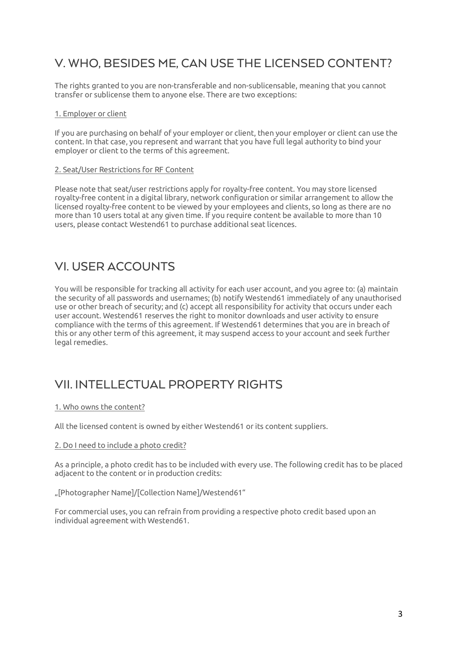### V. WHO, BESIDES ME, CAN USE THE LICENSED CONTENT?

The rights granted to you are non-transferable and non-sublicensable, meaning that you cannot transfer or sublicense them to anyone else. There are two exceptions:

#### 1. Employer or client

If you are purchasing on behalf of your employer or client, then your employer or client can use the content. In that case, you represent and warrant that you have full legal authority to bind your employer or client to the terms of this agreement.

#### 2. Seat/User Restrictions for RF Content

Please note that seat/user restrictions apply for royalty-free content. You may store licensed royalty-free content in a digital library, network configuration or similar arrangement to allow the licensed royalty-free content to be viewed by your employees and clients, so long as there are no more than 10 users total at any given time. If you require content be available to more than 10 users, please contact Westend61 to purchase additional seat licences.

### VI. USER ACCOUNTS

You will be responsible for tracking all activity for each user account, and you agree to: (a) maintain the security of all passwords and usernames; (b) notify Westend61 immediately of any unauthorised use or other breach of security; and (c) accept all responsibility for activity that occurs under each user account. Westend61 reserves the right to monitor downloads and user activity to ensure compliance with the terms of this agreement. If Westend61 determines that you are in breach of this or any other term of this agreement, it may suspend access to your account and seek further legal remedies.

### VII. INTELLECTUAL PROPERTY RIGHTS

#### 1. Who owns the content?

All the licensed content is owned by either Westend61 or its content suppliers.

#### 2. Do I need to include a photo credit?

As a principle, a photo credit has to be included with every use. The following credit has to be placed adjacent to the content or in production credits:

"[Photographer Name]/[Collection Name]/Westend61"

For commercial uses, you can refrain from providing a respective photo credit based upon an individual agreement with Westend61.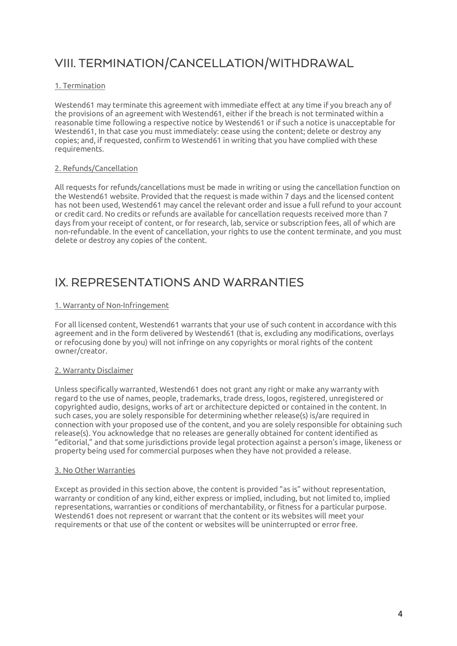# VIII. TERMINATION/CANCELLATION/WITHDRAWAL

#### 1. Termination

Westend61 may terminate this agreement with immediate effect at any time if you breach any of the provisions of an agreement with Westend61, either if the breach is not terminated within a reasonable time following a respective notice by Westend61 or if such a notice is unacceptable for Westend61, In that case you must immediately: cease using the content; delete or destroy any copies; and, if requested, confirm to Westend61 in writing that you have complied with these requirements.

#### 2. Refunds/Cancellation

All requests for refunds/cancellations must be made in writing or using the cancellation function on the Westend61 website. Provided that the request is made within 7 days and the licensed content has not been used, Westend61 may cancel the relevant order and issue a full refund to your account or credit card. No credits or refunds are available for cancellation requests received more than 7 days from your receipt of content, or for research, lab, service or subscription fees, all of which are non-refundable. In the event of cancellation, your rights to use the content terminate, and you must delete or destroy any copies of the content.

### IX. REPRESENTATIONS AND WARRANTIES

#### 1. Warranty of Non-Infringement

For all licensed content, Westend61 warrants that your use of such content in accordance with this agreement and in the form delivered by Westend61 (that is, excluding any modifications, overlays or refocusing done by you) will not infringe on any copyrights or moral rights of the content owner/creator.

#### 2. Warranty Disclaimer

Unless specifically warranted, Westend61 does not grant any right or make any warranty with regard to the use of names, people, trademarks, trade dress, logos, registered, unregistered or copyrighted audio, designs, works of art or architecture depicted or contained in the content. In such cases, you are solely responsible for determining whether release(s) is/are required in connection with your proposed use of the content, and you are solely responsible for obtaining such release(s). You acknowledge that no releases are generally obtained for content identified as "editorial," and that some jurisdictions provide legal protection against a person's image, likeness or property being used for commercial purposes when they have not provided a release.

#### 3. No Other Warranties

Except as provided in this section above, the content is provided "as is" without representation, warranty or condition of any kind, either express or implied, including, but not limited to, implied representations, warranties or conditions of merchantability, or fitness for a particular purpose. Westend61 does not represent or warrant that the content or its websites will meet your requirements or that use of the content or websites will be uninterrupted or error free.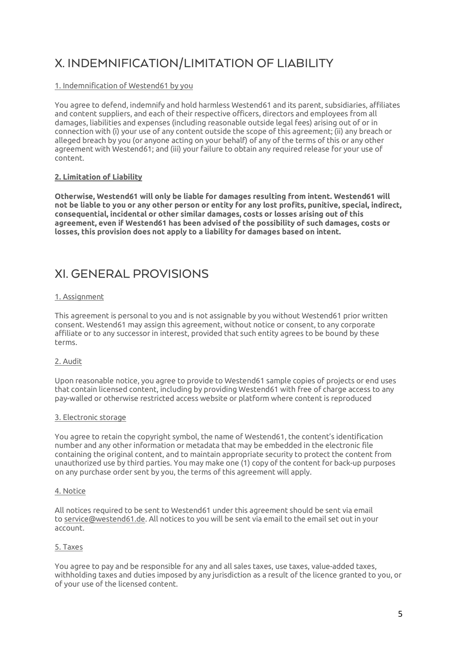# X. INDEMNIFICATION/LIMITATION OF LIABILITY

#### 1. Indemnification of Westend61 by you

You agree to defend, indemnify and hold harmless Westend61 and its parent, subsidiaries, affiliates and content suppliers, and each of their respective officers, directors and employees from all damages, liabilities and expenses (including reasonable outside legal fees) arising out of or in connection with (i) your use of any content outside the scope of this agreement; (ii) any breach or alleged breach by you (or anyone acting on your behalf) of any of the terms of this or any other agreement with Westend61; and (iii) your failure to obtain any required release for your use of content.

#### **2. Limitation of Liability**

**Otherwise, Westend61 will only be liable for damages resulting from intent. Westend61 will not be liable to you or any other person or entity for any lost profits, punitive, special, indirect, consequential, incidental or other similar damages, costs or losses arising out of this agreement, even if Westend61 has been advised of the possibility of such damages, costs or losses, this provision does not apply to a liability for damages based on intent.**

### XI. GENERAL PROVISIONS

#### 1. Assignment

This agreement is personal to you and is not assignable by you without Westend61 prior written consent. Westend61 may assign this agreement, without notice or consent, to any corporate affiliate or to any successor in interest, provided that such entity agrees to be bound by these terms.

#### 2. Audit

Upon reasonable notice, you agree to provide to Westend61 sample copies of projects or end uses that contain licensed content, including by providing Westend61 with free of charge access to any pay-walled or otherwise restricted access website or platform where content is reproduced

#### 3. Electronic storage

You agree to retain the copyright symbol, the name of Westend61, the content's identification number and any other information or metadata that may be embedded in the electronic file containing the original content, and to maintain appropriate security to protect the content from unauthorized use by third parties. You may make one (1) copy of the content for back-up purposes on any purchase order sent by you, the terms of this agreement will apply.

#### 4. Notice

All notices required to be sent to Westend61 under this agreement should be sent via email to service@westend61.de. All notices to you will be sent via email to the email set out in your account.

#### 5. Taxes

You agree to pay and be responsible for any and all sales taxes, use taxes, value-added taxes, withholding taxes and duties imposed by any jurisdiction as a result of the licence granted to you, or of your use of the licensed content.